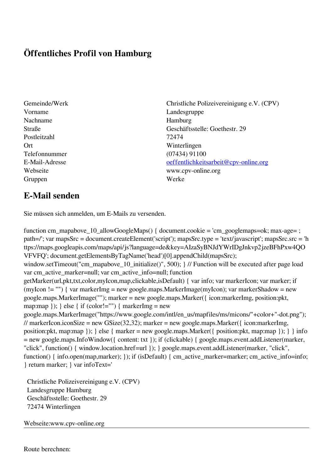## **Öffentliches Profil von Hamburg**

- Vorname Landesgruppe Nachname Hamburg Postleitzahl 72474 Ort Winterlingen Telefonnummer (07434) 91100 Gruppen Werke
- Gemeinde/Werk Christliche Polizeivereinigung e.V. (CPV) Straße Geschäftsstelle: Goethestr. 29 E-Mail-Adresse [oeffentlichkeitsarbeit@cpv-online.org](mailto:oeffentlichkeitsarbeit@cpv-online.org) Webseite www.cpv-online.org

## **E-Mail senden**

Sie müssen sich anmelden, um E-Mails zu versenden.

function cm\_mapabove\_10\_allowGoogleMaps() { document.cookie = 'cm\_googlemaps=ok; max-age= ; path=/'; var mapsSrc = document.createElement('script'); mapsSrc.type = 'text/javascript'; mapsSrc.src = 'h ttps://maps.googleapis.com/maps/api/js?language=de&key=AIzaSyBNJdYWrIDgJnkvp2jzeBFhPxw4QO VFVFQ'; document.getElementsByTagName('head')[0].appendChild(mapsSrc); window.setTimeout("cm\_mapabove\_10\_initialize()", 500); } // Function will be executed after page load var cm\_active\_marker=null; var cm\_active\_info=null; function getMarker(url,pkt,txt,color,myIcon,map,clickable,isDefault) { var info; var markerIcon; var marker; if (myIcon != "") { var markerImg = new google.maps.MarkerImage(myIcon); var markerShadow = new google.maps.MarkerImage(""); marker = new google.maps.Marker({ icon:markerImg, position:pkt, map:map  $\}$ ;  $\}$  else  $\{$  if (color!="")  $\{$  markerImg = new google.maps.MarkerImage("https://www.google.com/intl/en\_us/mapfiles/ms/micons/"+color+"-dot.png"); // markerIcon.iconSize = new GSize(32,32); marker = new google.maps.Marker( $\{$  icon:markerImg, position:pkt, map:map }); } else { marker = new google.maps.Marker({ position:pkt, map:map }); } } info = new google.maps.InfoWindow({ content: txt }); if (clickable) { google.maps.event.addListener(marker, "click", function() { window.location.href=url }); } google.maps.event.addListener(marker, "click", function() { info.open(map,marker); }); if (isDefault) { cm\_active\_marker=marker; cm\_active\_info=info; } return marker; } var infoText='

 Christliche Polizeivereinigung e.V. (CPV) Landesgruppe Hamburg Geschäftsstelle: Goethestr. 29 72474 Winterlingen

Webseite:www.cpv-online.org